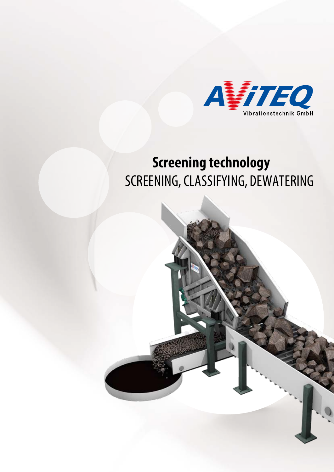

# **Screening technology** SCREENING, CLASSIFYING, DEWATERING

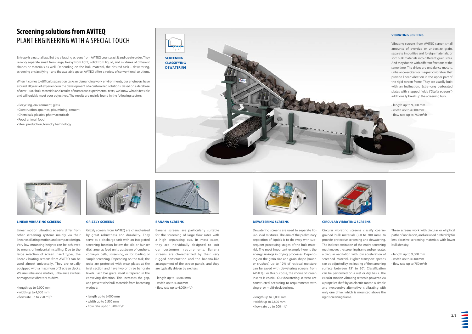



## **Screening solutions from AViTEQ** PLANT ENGINEERING WITH A SPECIAL TOUCH

Entropy is a natural law. But the vibrating screens from AViTEQ counteract it and create order. They reliably separate small from large, heavy from light, solid from liquid, and mixtures of different shapes or materials as well. Depending on the bulk material, the desired task – dewatering, screening or classifying – and the available space, AViTEQ offers a variety of conventional solutions.

When it comes to difficult separation tasks or demanding work environments, our engineers have around 70 years of experience in the development of a customized solutions. Based on a database of over 1,000 bulk materials and results of numerous experimental tests, we know what is feasible and will quickly meet your objectives. The results are mainly found in the following sectors:

- length up to 9,000 mm • width up to 4,000 mm
- 
- flow rate up to 750 m<sup>3</sup>/h



• Recycling, environment, glass

- Construction, quarries, pits, mining, cement
- Chemicals, plastics, pharmaceuticals
- Food, animal food
- Steel production, foundry technology

### **LINEAR VIBRATING SCREENS**

• length up to 6.000 mm • width up to 2,500 mm  $\cdot$  flow rate up to 1,500 m<sup>3</sup>/h



Linear motion vibrating screens differ from other screening systems mainly via their linear oscillating motion and compact design. Very low mounting heights can be achieved by means of horizontal installing. Due to the large selection of screen insert types, the linear vibrating screens from AViTEQ can be used almost universally. They are usually equipped with a maximum of 3 screen decks. We use unbalance motors, unbalance exciters or magnetic vibrators as drive.

• length up to 10,800 mm • width up to 4,500 mm • flow rate up to 4,000 m<sup>3</sup>/h



### **GRIZZLY SCREENS**

Grizzly screens from AViTEQ are characterized by great robustness and durability. They serve as a discharge unit with an integrated screening function below the silo or bunker discharge, as feed units upstream of crushers, conveyor belts, screening, or for loading or simple screening. Depending on the task, the units are protected with wear plates at the inlet section and have two or three bar grate levels. Each bar grate insert is tapered in the conveying direction. This increases the gap, and prevents the bulk materials from becoming wedged:

> • length up to 5,000 mm • width up to 2,800 mm • flow rate up to 200 m<sup>3</sup>/h

- length up to 9,000 mm
- width up to 4,000 mm
- $\cdot$  flow rate up to 750 m<sup>3</sup>/h



**BANANA SCREENS**

- length up to 9,000 mm
- width up to 4,000 mm
- flow rate up to 750 m<sup>3</sup>/h



Banana screens are particularly suitable for the screening of large flow rates with a high separating cut. In most cases, they are individually designed to suit our customers' requirements. Banana screens are characterized by their very rugged construction and the banana-like arrangement of the screen panels, and they are typically driven by exciters.

### **CIRCULAR VIBRATING SCREENS**

Circular vibrating screens classify coarsegrained bulk materials (5.0 to 300 mm), to provide protective screening and dewatering. The indirect excitation of the entire screening mesh moves the screening frame and generates a circular oscillation with low acceleration of screened material. Higher transport speeds can be adjusted by inclinating of the screening surface between 15° to 30°. Classification can be performed on a wet or dry basis. The circular-motion vibrating screen is powered via a propeller shaft by an electric motor. A simple and inexpensive alternative is vibrating with only one drive, which is mounted above the rigid screening frame.

### **DEWATERING SCREENS**

Dewatering screens are used to separate liquid-solid mixtures. The aim of the preliminary separation of liquids is to do away with subsequent processing stages of the bulk material. The most important example here is the energy savings in drying processes. Depending on the grain size and grain shape (round or crushed) up to 12% of residual moisture can be saved with dewatering screens from AViTEQ. For this purpose, the choice of screen inserts is crucial. Our dewatering screens are constructed according to requirements with single- or multi-deck designs.

These screens work with circular or elliptical paths of oscillation, and are used preferably for less abrasive screening materials with lower bulk density.

### **VIBRATING SCREENS**

Vibrating screens from AViTEQ screen small amounts of oversize or undersize grain, separate impurities and foreign materials, or sort bulk materials into different grain sizes. And they do this with different fractions at the same time. The drives are unbalance motors, unbalance exciters or magnetic vibrators that provide linear vibration in the upper part of the rigid screen frame. They are usually built with an inclination. Extra-long perforated plates with stepped fields ("Stufix screens") additionally break up the screening bulk.